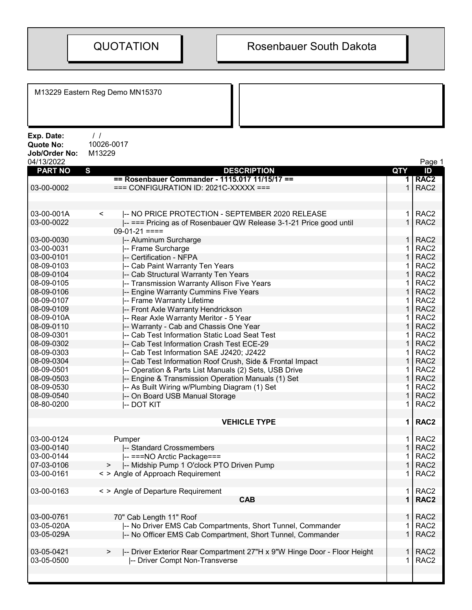|                                                               | M13229 Eastern Reg Demo MN15370                                               |            |                                      |
|---------------------------------------------------------------|-------------------------------------------------------------------------------|------------|--------------------------------------|
| Exp. Date:<br><b>Quote No:</b><br>Job/Order No:<br>04/13/2022 | $\frac{1}{2}$<br>10026-0017<br>M13229                                         |            | Page 1                               |
| <b>PART NO</b>                                                | S<br><b>DESCRIPTION</b>                                                       | <b>QTY</b> | ID                                   |
|                                                               | == Rosenbauer Commander - 1115.017 11/15/17 ==                                |            | RAC <sub>2</sub>                     |
| 03-00-0002                                                    | $==$ CONFIGURATION ID: 2021C-XXXXX $==$                                       | 1          | RAC <sub>2</sub>                     |
|                                                               |                                                                               |            |                                      |
| 03-00-001A                                                    | $\prec$<br>I-- NO PRICE PROTECTION - SEPTEMBER 2020 RELEASE                   | 1          | RAC <sub>2</sub>                     |
| 03-00-0022                                                    | -- === Pricing as of Rosenbauer QW Release 3-1-21 Price good until            |            | RAC <sub>2</sub>                     |
|                                                               | $09-01-21 ==$                                                                 |            |                                      |
| 03-00-0030                                                    | -- Aluminum Surcharge                                                         |            | RAC <sub>2</sub>                     |
| 03-00-0031                                                    | -- Frame Surcharge                                                            | 1          | RAC <sub>2</sub>                     |
| 03-00-0101                                                    | -- Certification - NFPA                                                       |            | RAC <sub>2</sub>                     |
| 08-09-0103                                                    | -- Cab Paint Warranty Ten Years                                               |            | RAC <sub>2</sub>                     |
| 08-09-0104                                                    | -- Cab Structural Warranty Ten Years                                          | 1          | RAC <sub>2</sub>                     |
| 08-09-0105                                                    | -- Transmission Warranty Allison Five Years                                   |            | RAC <sub>2</sub>                     |
| 08-09-0106                                                    | -- Engine Warranty Cummins Five Years                                         |            | RAC <sub>2</sub>                     |
| 08-09-0107                                                    | -- Frame Warranty Lifetime                                                    |            | RAC <sub>2</sub>                     |
| 08-09-0109                                                    | -- Front Axle Warranty Hendrickson                                            |            | RAC <sub>2</sub>                     |
| 08-09-010A                                                    | -- Rear Axle Warranty Meritor - 5 Year                                        |            | RAC <sub>2</sub>                     |
| 08-09-0110                                                    | -- Warranty - Cab and Chassis One Year                                        |            | RAC <sub>2</sub>                     |
| 08-09-0301                                                    | -- Cab Test Information Static Load Seat Test                                 | 1          | RAC <sub>2</sub>                     |
| 08-09-0302                                                    | -- Cab Test Information Crash Test ECE-29                                     | 1          | RAC <sub>2</sub>                     |
| 08-09-0303                                                    | -- Cab Test Information SAE J2420; J2422                                      |            | RAC <sub>2</sub>                     |
| 08-09-0304                                                    | -- Cab Test Information Roof Crush, Side & Frontal Impact                     |            | RAC <sub>2</sub>                     |
| 08-09-0501                                                    | -- Operation & Parts List Manuals (2) Sets, USB Drive                         |            | RAC <sub>2</sub>                     |
| 08-09-0503                                                    | -- Engine & Transmission Operation Manuals (1) Set                            |            | RAC <sub>2</sub>                     |
| 08-09-0530                                                    | -- As Built Wiring w/Plumbing Diagram (1) Set                                 |            | RAC <sub>2</sub>                     |
| 08-09-0540                                                    | -- On Board USB Manual Storage                                                |            | RAC <sub>2</sub>                     |
| 08-80-0200                                                    | <b>-- DOT KIT</b>                                                             | 1          | RAC <sub>2</sub>                     |
|                                                               |                                                                               |            |                                      |
|                                                               | <b>VEHICLE TYPE</b>                                                           | 1          | RAC <sub>2</sub>                     |
| 03-00-0124                                                    | Pumper                                                                        |            | RAC <sub>2</sub>                     |
| 03-00-0140                                                    | -- Standard Crossmembers                                                      |            | RAC <sub>2</sub>                     |
| 03-00-0144                                                    | -- ===NO Arctic Package===                                                    |            | RAC <sub>2</sub>                     |
| 07-03-0106                                                    | -- Midship Pump 1 O'clock PTO Driven Pump<br>$\geq$                           |            | RAC <sub>2</sub>                     |
| 03-00-0161                                                    | < > Angle of Approach Requirement                                             | 1          | RAC <sub>2</sub>                     |
| 03-00-0163                                                    | < > Angle of Departure Requirement                                            | 1          | RAC <sub>2</sub>                     |
|                                                               | <b>CAB</b>                                                                    |            | RAC <sub>2</sub>                     |
|                                                               |                                                                               |            |                                      |
| 03-00-0761                                                    | 70" Cab Length 11" Roof                                                       |            | RAC <sub>2</sub>                     |
| 03-05-020A                                                    | -- No Driver EMS Cab Compartments, Short Tunnel, Commander                    |            | RAC <sub>2</sub>                     |
| 03-05-029A                                                    | -- No Officer EMS Cab Compartment, Short Tunnel, Commander                    |            | RAC <sub>2</sub>                     |
|                                                               |                                                                               |            |                                      |
| 03-05-0421<br>03-05-0500                                      | -- Driver Exterior Rear Compartment 27"H x 9"W Hinge Door - Floor Height<br>> | 1<br>1     | RAC <sub>2</sub><br>RAC <sub>2</sub> |
|                                                               | -- Driver Compt Non-Transverse                                                |            |                                      |
|                                                               |                                                                               |            |                                      |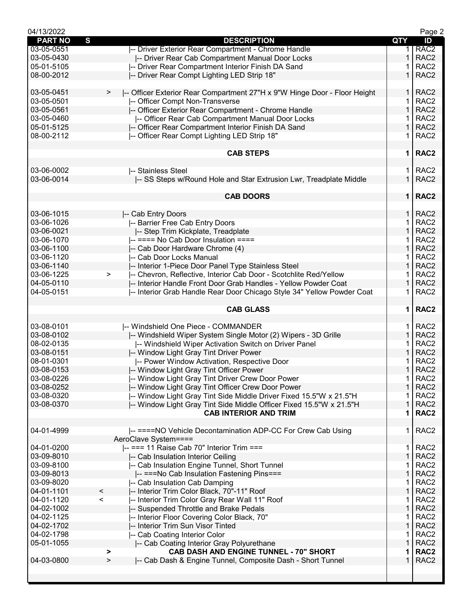| 04/13/2022     |                                                                                |              | Page 2           |
|----------------|--------------------------------------------------------------------------------|--------------|------------------|
| <b>PART NO</b> | $\mathbf{s}$<br><b>DESCRIPTION</b>                                             | QTY          | ID               |
| 03-05-0551     | -- Driver Exterior Rear Compartment - Chrome Handle                            | 1.           | RAC <sub>2</sub> |
| 03-05-0430     | -- Driver Rear Cab Compartment Manual Door Locks                               | 1            | RAC <sub>2</sub> |
| 05-01-5105     | -- Driver Rear Compartment Interior Finish DA Sand                             |              | RAC <sub>2</sub> |
| 08-00-2012     | -- Driver Rear Compt Lighting LED Strip 18"                                    | 1            | RAC <sub>2</sub> |
|                |                                                                                |              |                  |
| 03-05-0451     | -- Officer Exterior Rear Compartment 27"H x 9"W Hinge Door - Floor Height<br>> | $\mathbf{1}$ | RAC <sub>2</sub> |
| 03-05-0501     | -- Officer Compt Non-Transverse                                                | 1            | RAC <sub>2</sub> |
| 03-05-0561     | -- Officer Exterior Rear Compartment - Chrome Handle                           | $\mathbf{1}$ | RAC <sub>2</sub> |
| 03-05-0460     |                                                                                | 1            | RAC <sub>2</sub> |
|                | -- Officer Rear Cab Compartment Manual Door Locks                              | 1            |                  |
| 05-01-5125     | -- Officer Rear Compartment Interior Finish DA Sand                            |              | RAC <sub>2</sub> |
| 08-00-2112     | I-- Officer Rear Compt Lighting LED Strip 18"                                  | 1.           | RAC <sub>2</sub> |
|                |                                                                                |              |                  |
|                | <b>CAB STEPS</b>                                                               | $\mathbf 1$  | RAC <sub>2</sub> |
|                |                                                                                |              |                  |
| 03-06-0002     | -- Stainless Steel                                                             | 1.           | RAC <sub>2</sub> |
| 03-06-0014     | -- SS Steps w/Round Hole and Star Extrusion Lwr, Treadplate Middle             | $\mathbf{1}$ | RAC <sub>2</sub> |
|                |                                                                                |              |                  |
|                | <b>CAB DOORS</b>                                                               |              | 1   RAC2         |
|                |                                                                                |              |                  |
| 03-06-1015     | -- Cab Entry Doors                                                             | 1.           | RAC <sub>2</sub> |
| 03-06-1026     | -- Barrier Free Cab Entry Doors                                                | 1            | RAC <sub>2</sub> |
| 03-06-0021     | -- Step Trim Kickplate, Treadplate                                             | 1            | RAC <sub>2</sub> |
| 03-06-1070     |                                                                                | 1            | RAC <sub>2</sub> |
|                | ---=== No Cab Door Insulation ====                                             |              |                  |
| 03-06-1100     | -- Cab Door Hardware Chrome (4)                                                | $\mathbf{1}$ | RAC <sub>2</sub> |
| 03-06-1120     | -- Cab Door Locks Manual                                                       | 1            | RAC <sub>2</sub> |
| 03-06-1140     | -- Interior 1-Piece Door Panel Type Stainless Steel                            | 1            | RAC <sub>2</sub> |
| 03-06-1225     | -- Chevron, Reflective, Interior Cab Door - Scotchlite Red/Yellow<br>$\geq$    |              | RAC <sub>2</sub> |
| 04-05-0110     | -- Interior Handle Front Door Grab Handles - Yellow Powder Coat                | 1            | RAC <sub>2</sub> |
| 04-05-0151     | -- Interior Grab Handle Rear Door Chicago Style 34" Yellow Powder Coat         | 1            | RAC <sub>2</sub> |
|                |                                                                                |              |                  |
|                |                                                                                |              |                  |
|                | <b>CAB GLASS</b>                                                               | 1            |                  |
|                |                                                                                |              | RAC <sub>2</sub> |
|                |                                                                                |              |                  |
| 03-08-0101     | -- Windshield One Piece - COMMANDER                                            | 1.           | RAC <sub>2</sub> |
| 03-08-0102     | -- Windshield Wiper System Single Motor (2) Wipers - 3D Grille                 | 1            | RAC <sub>2</sub> |
| 08-02-0135     | -- Windshield Wiper Activation Switch on Driver Panel                          | 1            | RAC <sub>2</sub> |
| 03-08-0151     | -- Window Light Gray Tint Driver Power                                         | 1            | RAC <sub>2</sub> |
| 08-01-0301     | -- Power Window Activation, Respective Door                                    | 1            | RAC <sub>2</sub> |
| 03-08-0153     | -- Window Light Gray Tint Officer Power                                        | $\mathbf{1}$ | RAC <sub>2</sub> |
| 03-08-0226     | -- Window Light Gray Tint Driver Crew Door Power                               | 1            | RAC <sub>2</sub> |
| 03-08-0252     | -- Window Light Gray Tint Officer Crew Door Power                              | $\mathbf{1}$ | RAC <sub>2</sub> |
| 03-08-0320     | -- Window Light Gray Tint Side Middle Driver Fixed 15.5"W x 21.5"H             | 1            | RAC <sub>2</sub> |
| 03-08-0370     |                                                                                | 1            | RAC <sub>2</sub> |
|                | -- Window Light Gray Tint Side Middle Officer Fixed 15.5"W x 21.5"H            | 1            |                  |
|                | <b>CAB INTERIOR AND TRIM</b>                                                   |              | RAC <sub>2</sub> |
|                |                                                                                |              |                  |
| 04-01-4999     | -- ====NO Vehicle Decontamination ADP-CC For Crew Cab Using                    | 1.           | RAC <sub>2</sub> |
|                | AeroClave System====                                                           |              |                  |
| 04-01-0200     | $\left  \text{---} \right $ === 11 Raise Cab 70" Interior Trim ===             | 1.           | RAC <sub>2</sub> |
| 03-09-8010     | -- Cab Insulation Interior Ceiling                                             | $\mathbf{1}$ | RAC <sub>2</sub> |
| 03-09-8100     | -- Cab Insulation Engine Tunnel, Short Tunnel                                  | 1            | RAC <sub>2</sub> |
| 03-09-8013     | -- ===No Cab Insulation Fastening Pins===                                      | $\mathbf{1}$ | RAC <sub>2</sub> |
| 03-09-8020     | -- Cab Insulation Cab Damping                                                  | 1            | RAC <sub>2</sub> |
| 04-01-1101     | -- Interior Trim Color Black, 70"-11" Roof<br>$\,<\,$                          | 1            | RAC <sub>2</sub> |
| 04-01-1120     | -- Interior Trim Color Gray Rear Wall 11" Roof<br>$\,<\,$                      | 1            | RAC <sub>2</sub> |
| 04-02-1002     |                                                                                | $\mathbf{1}$ | RAC <sub>2</sub> |
|                | -- Suspended Throttle and Brake Pedals                                         | 1            |                  |
| 04-02-1125     | -- Interior Floor Covering Color Black, 70"                                    |              | RAC <sub>2</sub> |
| 04-02-1702     | -- Interior Trim Sun Visor Tinted                                              | $\mathbf{1}$ | RAC <sub>2</sub> |
| 04-02-1798     | -- Cab Coating Interior Color                                                  | 1            | RAC <sub>2</sub> |
| 05-01-1055     | -- Cab Coating Interior Gray Polyurethane                                      | $\mathbf 1$  | RAC <sub>2</sub> |
|                | CAB DASH AND ENGINE TUNNEL - 70" SHORT<br>>                                    | 1            | RAC <sub>2</sub> |
| 04-03-0800     | -- Cab Dash & Engine Tunnel, Composite Dash - Short Tunnel<br>$\,>$            | 1            | RAC <sub>2</sub> |
|                |                                                                                |              |                  |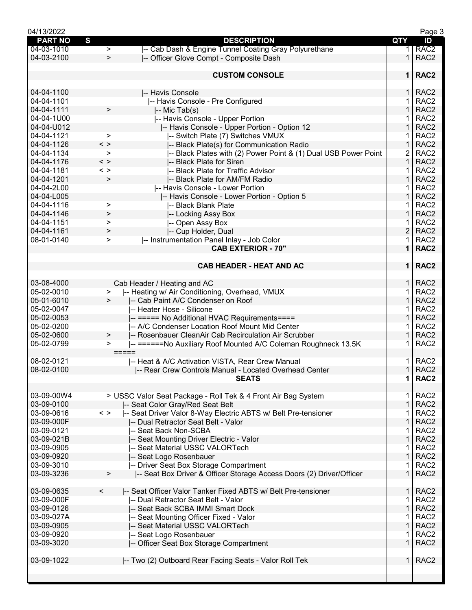| 04/13/2022                  |                                                                                |                | Page 3           |
|-----------------------------|--------------------------------------------------------------------------------|----------------|------------------|
| S<br><b>PART NO</b>         | <b>DESCRIPTION</b>                                                             | <b>QTY</b>     | ID               |
| 04-03-1010                  | -- Cab Dash & Engine Tunnel Coating Gray Polyurethane<br>$\geq$                | 1.             | RAC <sub>2</sub> |
| 04-03-2100                  | $\geq$<br>-- Officer Glove Compt - Composite Dash                              | $\mathbf 1$    | RAC <sub>2</sub> |
|                             |                                                                                |                |                  |
|                             | <b>CUSTOM CONSOLE</b>                                                          | $\mathbf 1$    | RAC <sub>2</sub> |
|                             |                                                                                |                |                  |
| 04-04-1100                  | -- Havis Console                                                               | $\mathbf{1}$   | RAC <sub>2</sub> |
| 04-04-1101                  | -- Havis Console - Pre Configured                                              | 1              | RAC <sub>2</sub> |
| $\geq$                      |                                                                                | $\mathbf{1}$   | RAC <sub>2</sub> |
| 04-04-1111                  | -- Mic Tab(s)                                                                  |                |                  |
| 04-04-1U00                  | -- Havis Console - Upper Portion                                               | 1              | RAC <sub>2</sub> |
| 04-04-U012                  | I-- Havis Console - Upper Portion - Option 12                                  | 1              | RAC <sub>2</sub> |
| 04-04-1121                  | -- Switch Plate (7) Switches VMUX<br>$\geq$                                    | 1              | RAC <sub>2</sub> |
| 04-04-1126<br>$\langle$ $>$ | -- Black Plate(s) for Communication Radio                                      | 1              | RAC <sub>2</sub> |
| 04-04-1134                  | -- Black Plates with (2) Power Point & (1) Dual USB Power Point<br>$\geq$      | 2              | RAC <sub>2</sub> |
| 04-04-1176<br>$\langle$ >   | -- Black Plate for Siren                                                       | $\mathbf{1}$   | RAC <sub>2</sub> |
| 04-04-1181<br>$\langle$ $>$ | -- Black Plate for Traffic Advisor                                             | 1              | RAC <sub>2</sub> |
| 04-04-1201                  | $\, >$                                                                         | 1              | RAC <sub>2</sub> |
|                             | -- Black Plate for AM/FM Radio                                                 |                |                  |
| 04-04-2L00                  | -- Havis Console - Lower Portion                                               | 1              | RAC <sub>2</sub> |
| 04-04-L005                  | I-- Havis Console - Lower Portion - Option 5                                   | 1              | RAC <sub>2</sub> |
| 04-04-1116                  | -- Black Blank Plate<br>>                                                      | 1              | RAC <sub>2</sub> |
| 04-04-1146                  | -- Locking Assy Box<br>>                                                       | 1              | RAC <sub>2</sub> |
| 04-04-1151                  | -- Open Assy Box<br>$\geq$                                                     | 1              | RAC <sub>2</sub> |
| 04-04-1161<br>>             | -- Cup Holder, Dual                                                            | $\overline{2}$ | RAC <sub>2</sub> |
| 08-01-0140                  | -- Instrumentation Panel Inlay - Job Color<br>$\,>$                            | 1              | RAC <sub>2</sub> |
|                             | <b>CAB EXTERIOR - 70"</b>                                                      | $\mathbf 1$    |                  |
|                             |                                                                                |                | RAC <sub>2</sub> |
|                             |                                                                                |                |                  |
|                             | <b>CAB HEADER - HEAT AND AC</b>                                                | $\mathbf 1$    | RAC <sub>2</sub> |
|                             |                                                                                |                |                  |
| 03-08-4000                  | Cab Header / Heating and AC                                                    | 1.             | RAC <sub>2</sub> |
| 05-02-0010                  | -- Heating w/ Air Conditioning, Overhead, VMUX<br>$\, > \,$                    | 1              | RAC <sub>2</sub> |
| 05-01-6010                  | -- Cab Paint A/C Condenser on Roof                                             | $\mathbf{1}$   | RAC <sub>2</sub> |
| 05-02-0047                  |                                                                                | 1              | RAC <sub>2</sub> |
|                             | -- Heater Hose - Silicone                                                      |                |                  |
| 05-02-0053                  | -- ===== No Additional HVAC Requirements====                                   | $\mathbf{1}$   | RAC <sub>2</sub> |
| 05-02-0200                  | -- A/C Condenser Location Roof Mount Mid Center                                | 1              | RAC <sub>2</sub> |
| 05-02-0600                  | -- Rosenbauer CleanAir Cab Recirculation Air Scrubber<br>$\,>\,$               | 1              | RAC <sub>2</sub> |
| 05-02-0799                  | -- ======No Auxiliary Roof Mounted A/C Coleman Roughneck 13.5K<br>$\,>$        | 1              | RAC <sub>2</sub> |
|                             | =====                                                                          |                |                  |
| 08-02-0121                  | I-- Heat & A/C Activation VISTA, Rear Crew Manual                              | 1              | RAC <sub>2</sub> |
| 08-02-0100                  | -- Rear Crew Controls Manual - Located Overhead Center                         | $\mathbf{1}$   | RAC <sub>2</sub> |
|                             | <b>SEATS</b>                                                                   | $\mathbf 1$    | RAC <sub>2</sub> |
|                             |                                                                                |                |                  |
|                             |                                                                                |                |                  |
| 03-09-00W4                  | > USSC Valor Seat Package - Roll Tek & 4 Front Air Bag System                  | 1.             | RAC <sub>2</sub> |
| 03-09-0100                  | -- Seat Color Gray/Red Seat Belt                                               | $\mathbf{1}$   | RAC <sub>2</sub> |
| 03-09-0616<br>$\langle$ >   | -- Seat Driver Valor 8-Way Electric ABTS w/ Belt Pre-tensioner                 | 1              | RAC <sub>2</sub> |
| 03-09-000F                  | -- Dual Retractor Seat Belt - Valor                                            | 1              | RAC <sub>2</sub> |
| 03-09-0121                  | -- Seat Back Non-SCBA                                                          | 1              | RAC <sub>2</sub> |
| 03-09-021B                  | -- Seat Mounting Driver Electric - Valor                                       | $\mathbf 1$    | RAC <sub>2</sub> |
| 03-09-0905                  | -- Seat Material USSC VALORTech                                                | 1              | RAC <sub>2</sub> |
|                             |                                                                                |                |                  |
| 03-09-0920                  | -- Seat Logo Rosenbauer                                                        | $\mathbf{1}$   | RAC <sub>2</sub> |
| 03-09-3010                  | -- Driver Seat Box Storage Compartment                                         | 1              | RAC <sub>2</sub> |
| 03-09-3236                  | -- Seat Box Driver & Officer Storage Access Doors (2) Driver/Officer<br>$\geq$ | $\mathbf 1$    | RAC <sub>2</sub> |
|                             |                                                                                |                |                  |
| 03-09-0635<br>$\,<\,$       | -- Seat Officer Valor Tanker Fixed ABTS w/ Belt Pre-tensioner                  | 1.             | RAC <sub>2</sub> |
| 03-09-000F                  | -- Dual Retractor Seat Belt - Valor                                            | 1              | RAC <sub>2</sub> |
| 03-09-0126                  | -- Seat Back SCBA IMMI Smart Dock                                              | $\mathbf 1$    | RAC <sub>2</sub> |
| 03-09-027A                  |                                                                                | 1              | RAC <sub>2</sub> |
|                             | -- Seat Mounting Officer Fixed - Valor                                         |                |                  |
| 03-09-0905                  | -- Seat Material USSC VALORTech                                                | $\mathbf{1}$   | RAC <sub>2</sub> |
| 03-09-0920                  | -- Seat Logo Rosenbauer                                                        | 1              | RAC <sub>2</sub> |
| 03-09-3020                  | -- Officer Seat Box Storage Compartment                                        | $\mathbf 1$    | RAC <sub>2</sub> |
|                             |                                                                                |                |                  |
| 03-09-1022                  | -- Two (2) Outboard Rear Facing Seats - Valor Roll Tek                         | $\mathbf{1}$   | RAC <sub>2</sub> |
|                             |                                                                                |                |                  |
|                             |                                                                                |                |                  |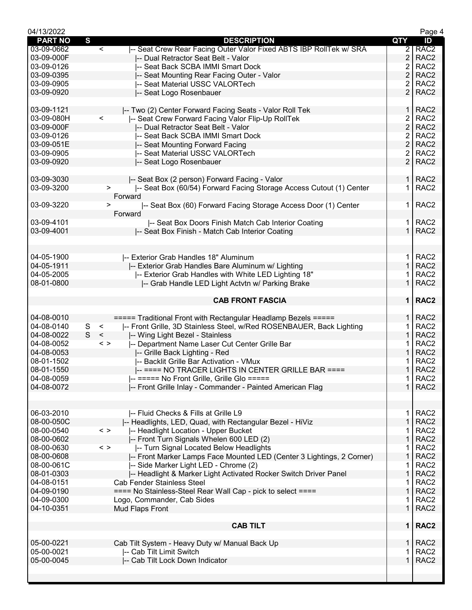| 04/13/2022     |              |                                                                               |                | Page 4           |
|----------------|--------------|-------------------------------------------------------------------------------|----------------|------------------|
| <b>PART NO</b> | $\mathbf{s}$ | <b>DESCRIPTION</b>                                                            | QTY            | ID               |
| 03-09-0662     |              | -- Seat Crew Rear Facing Outer Valor Fixed ABTS IBP RollTek w/ SRA<br>$\,<\,$ | $\overline{2}$ | RAC <sub>2</sub> |
| 03-09-000F     |              | -- Dual Retractor Seat Belt - Valor                                           | $\overline{2}$ | RAC <sub>2</sub> |
| 03-09-0126     |              | -- Seat Back SCBA IMMI Smart Dock                                             | 2              | RAC <sub>2</sub> |
| 03-09-0395     |              | -- Seat Mounting Rear Facing Outer - Valor                                    | 2              | RAC <sub>2</sub> |
| 03-09-0905     |              | -- Seat Material USSC VALORTech                                               | 2              | RAC <sub>2</sub> |
| 03-09-0920     |              | -- Seat Logo Rosenbauer                                                       | $\overline{2}$ | RAC <sub>2</sub> |
|                |              |                                                                               |                |                  |
| 03-09-1121     |              | -- Two (2) Center Forward Facing Seats - Valor Roll Tek                       | $\mathbf{1}$   | RAC <sub>2</sub> |
| 03-09-080H     |              | $\,<$<br>-- Seat Crew Forward Facing Valor Flip-Up RollTek                    | 2              | RAC <sub>2</sub> |
| 03-09-000F     |              | -- Dual Retractor Seat Belt - Valor                                           | $\overline{2}$ | RAC <sub>2</sub> |
| 03-09-0126     |              | -- Seat Back SCBA IMMI Smart Dock                                             | 2              | RAC <sub>2</sub> |
| 03-09-051E     |              | -- Seat Mounting Forward Facing                                               | 2              | RAC <sub>2</sub> |
| 03-09-0905     |              | -- Seat Material USSC VALORTech                                               | 2              | RAC <sub>2</sub> |
| 03-09-0920     |              | -- Seat Logo Rosenbauer                                                       | $\overline{2}$ | RAC <sub>2</sub> |
|                |              |                                                                               |                |                  |
| 03-09-3030     |              | -- Seat Box (2 person) Forward Facing - Valor                                 |                | 1   RAC2         |
| 03-09-3200     |              | -- Seat Box (60/54) Forward Facing Storage Access Cutout (1) Center<br>>      | 1.             | RAC <sub>2</sub> |
|                |              | Forward                                                                       |                |                  |
| 03-09-3220     |              | -- Seat Box (60) Forward Facing Storage Access Door (1) Center<br>>           | 1.             | RAC <sub>2</sub> |
|                |              | Forward                                                                       |                |                  |
| 03-09-4101     |              | -- Seat Box Doors Finish Match Cab Interior Coating                           | 1 I            | RAC <sub>2</sub> |
| 03-09-4001     |              | -- Seat Box Finish - Match Cab Interior Coating                               | $\mathbf{1}$   | RAC <sub>2</sub> |
|                |              |                                                                               |                |                  |
|                |              |                                                                               |                |                  |
| 04-05-1900     |              | -- Exterior Grab Handles 18" Aluminum                                         | $\mathbf{1}$   | RAC <sub>2</sub> |
| 04-05-1911     |              | -- Exterior Grab Handles Bare Aluminum w/ Lighting                            | $\mathbf{1}$   | RAC <sub>2</sub> |
| 04-05-2005     |              | I-- Exterior Grab Handles with White LED Lighting 18"                         | 1              | RAC <sub>2</sub> |
| 08-01-0800     |              | -- Grab Handle LED Light Actvtn w/ Parking Brake                              | $\mathbf 1$    | RAC <sub>2</sub> |
|                |              |                                                                               |                |                  |
|                |              | <b>CAB FRONT FASCIA</b>                                                       |                | 1   RAC2         |
|                |              |                                                                               |                |                  |
| 04-08-0010     |              | ===== Traditional Front with Rectangular Headlamp Bezels =====                | 1 <sup>1</sup> | RAC <sub>2</sub> |
| 04-08-0140     | S            | $\,<$<br>-- Front Grille, 3D Stainless Steel, w/Red ROSENBAUER, Back Lighting | 1.             | RAC <sub>2</sub> |
| 04-08-0022     | S            | $\,<$<br>-- Wing Light Bezel - Stainless                                      | 1              | RAC <sub>2</sub> |
| 04-08-0052     |              | -- Department Name Laser Cut Center Grille Bar<br>$\langle$ >                 | 1              | RAC <sub>2</sub> |
| 04-08-0053     |              |                                                                               | 1              | RAC <sub>2</sub> |
| 08-01-1502     |              | -- Grille Back Lighting - Red<br>-- Backlit Grille Bar Activation - VMux      |                |                  |
|                |              |                                                                               | $\mathbf{1}$   | RAC <sub>2</sub> |
| 08-01-1550     |              | -- ==== NO TRACER LIGHTS IN CENTER GRILLE BAR ====                            |                | RAC <sub>2</sub> |
| 04-08-0059     |              | -- ===== No Front Grille, Grille Glo =====                                    | 1              | RAC <sub>2</sub> |
| 04-08-0072     |              | -- Front Grille Inlay - Commander - Painted American Flag                     | $\mathbf 1$    | RAC <sub>2</sub> |
|                |              |                                                                               |                |                  |
|                |              |                                                                               |                |                  |
| 06-03-2010     |              | -- Fluid Checks & Fills at Grille L9                                          | 1.             | RAC <sub>2</sub> |
| 08-00-050C     |              | -- Headlights, LED, Quad, with Rectangular Bezel - HiViz                      | 1              | RAC <sub>2</sub> |
| 08-00-0540     |              | -- Headlight Location - Upper Bucket<br>$\langle$ >                           | 1              | RAC <sub>2</sub> |
| 08-00-0602     |              | -- Front Turn Signals Whelen 600 LED (2)                                      | 1              | RAC <sub>2</sub> |
| 08-00-0630     |              | $\langle$ $>$<br>-- Turn Signal Located Below Headlights                      | 1              | RAC <sub>2</sub> |
| 08-00-0608     |              | -- Front Marker Lamps Face Mounted LED (Center 3 Lightings, 2 Corner)         | $\mathbf{1}$   | RAC <sub>2</sub> |
| 08-00-061C     |              | -- Side Marker Light LED - Chrome (2)                                         | 1              | RAC <sub>2</sub> |
| 08-01-0303     |              | -- Headlight & Marker Light Activated Rocker Switch Driver Panel              | 1              | RAC <sub>2</sub> |
| 04-08-0151     |              | <b>Cab Fender Stainless Steel</b>                                             | 1              | RAC <sub>2</sub> |
| 04-09-0190     |              | ==== No Stainless-Steel Rear Wall Cap - pick to select ====                   | 1              | RAC <sub>2</sub> |
| 04-09-0300     |              | Logo, Commander, Cab Sides                                                    | 1              | RAC <sub>2</sub> |
| 04-10-0351     |              | Mud Flaps Front                                                               | $\mathbf{1}$   | RAC <sub>2</sub> |
|                |              |                                                                               |                |                  |
|                |              | <b>CAB TILT</b>                                                               |                | 1   RAC2         |
|                |              |                                                                               |                |                  |
| 05-00-0221     |              | Cab Tilt System - Heavy Duty w/ Manual Back Up                                | $\mathbf 1$    | RAC <sub>2</sub> |
| 05-00-0021     |              | -- Cab Tilt Limit Switch                                                      |                | RAC <sub>2</sub> |
| 05-00-0045     |              | -- Cab Tilt Lock Down Indicator                                               | 1              | RAC <sub>2</sub> |
|                |              |                                                                               |                |                  |
|                |              |                                                                               |                |                  |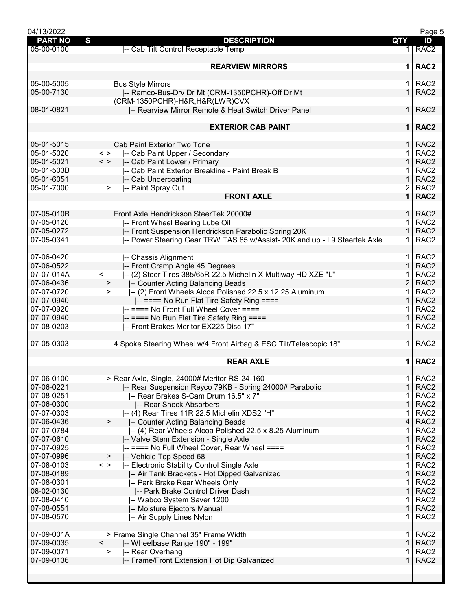| 04/13/2022     |                                                                                            |                | Page 5           |
|----------------|--------------------------------------------------------------------------------------------|----------------|------------------|
| <b>PART NO</b> | S<br><b>DESCRIPTION</b>                                                                    | <b>QTY</b>     | ID               |
| 05-00-0100     | -- Cab Tilt Control Receptacle Temp                                                        | 1.             | RAC <sub>2</sub> |
|                |                                                                                            |                |                  |
|                | <b>REARVIEW MIRRORS</b>                                                                    | $\mathbf 1$    | RAC <sub>2</sub> |
|                |                                                                                            |                |                  |
| 05-00-5005     | <b>Bus Style Mirrors</b>                                                                   | 1.             | RAC <sub>2</sub> |
| 05-00-7130     | -- Ramco-Bus-Drv Dr Mt (CRM-1350PCHR)-Off Dr Mt                                            | $\mathbf{1}$   | RAC <sub>2</sub> |
|                |                                                                                            |                |                  |
| 08-01-0821     | (CRM-1350PCHR)-H&R, H&R(LWR)CVX                                                            | 1              | RAC <sub>2</sub> |
|                | -- Rearview Mirror Remote & Heat Switch Driver Panel                                       |                |                  |
|                |                                                                                            |                |                  |
|                | <b>EXTERIOR CAB PAINT</b>                                                                  |                | 1   RAC2         |
|                |                                                                                            |                |                  |
| 05-01-5015     | <b>Cab Paint Exterior Two Tone</b>                                                         | 1              | RAC <sub>2</sub> |
| 05-01-5020     | $\langle$ ><br>-- Cab Paint Upper / Secondary                                              | 1              | RAC <sub>2</sub> |
| 05-01-5021     | $\langle$ ><br>-- Cab Paint Lower / Primary                                                | $\mathbf 1$    | RAC <sub>2</sub> |
| 05-01-503B     | -- Cab Paint Exterior Breakline - Paint Break B                                            | 1.             | RAC <sub>2</sub> |
| 05-01-6051     | -- Cab Undercoating                                                                        | $\mathbf{1}$   | RAC <sub>2</sub> |
| 05-01-7000     | -- Paint Spray Out<br>$\geq$                                                               | $\overline{2}$ | RAC <sub>2</sub> |
|                | <b>FRONT AXLE</b>                                                                          | $\mathbf 1$    | RAC <sub>2</sub> |
|                |                                                                                            |                |                  |
| 07-05-010B     | Front Axle Hendrickson SteerTek 20000#                                                     | $\mathbf{1}$   | RAC <sub>2</sub> |
| 07-05-0120     | -- Front Wheel Bearing Lube Oil                                                            | 1              | RAC <sub>2</sub> |
| 07-05-0272     | -- Front Suspension Hendrickson Parabolic Spring 20K                                       | $\mathbf 1$    | RAC <sub>2</sub> |
| 07-05-0341     | -- Power Steering Gear TRW TAS 85 w/Assist- 20K and up - L9 Steertek Axle                  | 1.             | RAC <sub>2</sub> |
|                |                                                                                            |                |                  |
|                |                                                                                            |                |                  |
| 07-06-0420     | -- Chassis Alignment                                                                       | 1.             | RAC <sub>2</sub> |
| 07-06-0522     | -- Front Cramp Angle 45 Degrees                                                            | $\mathbf{1}$   | RAC <sub>2</sub> |
| 07-07-014A     | -- (2) Steer Tires 385/65R 22.5 Michelin X Multiway HD XZE "L"<br>$\overline{\phantom{0}}$ |                | RAC <sub>2</sub> |
| 07-06-0436     | -- Counter Acting Balancing Beads<br>$\geq$                                                | 2              | RAC <sub>2</sub> |
| 07-07-0720     | -- (2) Front Wheels Alcoa Polished 22.5 x 12.25 Aluminum<br>$\geq$                         | 1              | RAC <sub>2</sub> |
| 07-07-0940     | -- ==== No Run Flat Tire Safety Ring ====                                                  | $\mathbf{1}$   | RAC <sub>2</sub> |
| 07-07-0920     | -- ==== No Front Full Wheel Cover ====                                                     | 1.             | RAC <sub>2</sub> |
| 07-07-0940     | -- ==== No Run Flat Tire Safety Ring ====                                                  | $\mathbf{1}$   | RAC <sub>2</sub> |
| 07-08-0203     | -- Front Brakes Meritor EX225 Disc 17"                                                     | 1.             | RAC <sub>2</sub> |
|                |                                                                                            |                |                  |
| 07-05-0303     | 4 Spoke Steering Wheel w/4 Front Airbag & ESC Tilt/Telescopic 18"                          | 1.             | RAC <sub>2</sub> |
|                |                                                                                            |                |                  |
|                | <b>REAR AXLE</b>                                                                           | $\mathbf 1$    | RAC <sub>2</sub> |
|                |                                                                                            |                |                  |
| 07-06-0100     | > Rear Axle, Single, 24000# Meritor RS-24-160                                              | 1              | RAC <sub>2</sub> |
| 07-06-0221     | -- Rear Suspension Reyco 79KB - Spring 24000# Parabolic                                    | $\mathbf 1$    | RAC <sub>2</sub> |
| 07-08-0251     | -- Rear Brakes S-Cam Drum 16.5" x 7"                                                       | 1              | RAC <sub>2</sub> |
|                |                                                                                            | 1              | RAC <sub>2</sub> |
| 07-06-0300     | -- Rear Shock Absorbers                                                                    |                |                  |
| 07-07-0303     | -- (4) Rear Tires 11R 22.5 Michelin XDS2 "H"                                               |                | RAC <sub>2</sub> |
| 07-06-0436     | $\geq$<br>-- Counter Acting Balancing Beads                                                | 4              | RAC <sub>2</sub> |
| 07-07-0784     | -- (4) Rear Wheels Alcoa Polished 22.5 x 8.25 Aluminum                                     | 1              | RAC <sub>2</sub> |
| 07-07-0610     | -- Valve Stem Extension - Single Axle                                                      | 1              | RAC <sub>2</sub> |
| 07-07-0925     | -- ==== No Full Wheel Cover, Rear Wheel ====                                               | 1              | RAC <sub>2</sub> |
| 07-07-0996     | -- Vehicle Top Speed 68<br>$\geq$                                                          | $\mathbf{1}$   | RAC <sub>2</sub> |
| 07-08-0103     | $\,<\,>$<br>-- Electronic Stability Control Single Axle                                    | 1              | RAC <sub>2</sub> |
| 07-08-0189     | -- Air Tank Brackets - Hot Dipped Galvanized                                               | 1              | RAC <sub>2</sub> |
| 07-08-0301     | -- Park Brake Rear Wheels Only                                                             |                | RAC <sub>2</sub> |
| 08-02-0130     | -- Park Brake Control Driver Dash                                                          | 1              | RAC <sub>2</sub> |
| 07-08-0410     | -- Wabco System Saver 1200                                                                 | 1              | RAC <sub>2</sub> |
| 07-08-0551     | -- Moisture Ejectors Manual                                                                | 1              | RAC <sub>2</sub> |
| 07-08-0570     | -- Air Supply Lines Nylon                                                                  | 1              | RAC <sub>2</sub> |
|                |                                                                                            |                |                  |
| 07-09-001A     |                                                                                            |                | RAC <sub>2</sub> |
|                | > Frame Single Channel 35" Frame Width                                                     | 1              |                  |
| 07-09-0035     | -- Wheelbase Range 190" - 199"<br>$\overline{\phantom{0}}$                                 | 1              | RAC <sub>2</sub> |
| 07-09-0071     | -- Rear Overhang<br>>                                                                      |                | RAC <sub>2</sub> |
| 07-09-0136     | -- Frame/Front Extension Hot Dip Galvanized                                                | 1              | RAC <sub>2</sub> |
|                |                                                                                            |                |                  |
|                |                                                                                            |                |                  |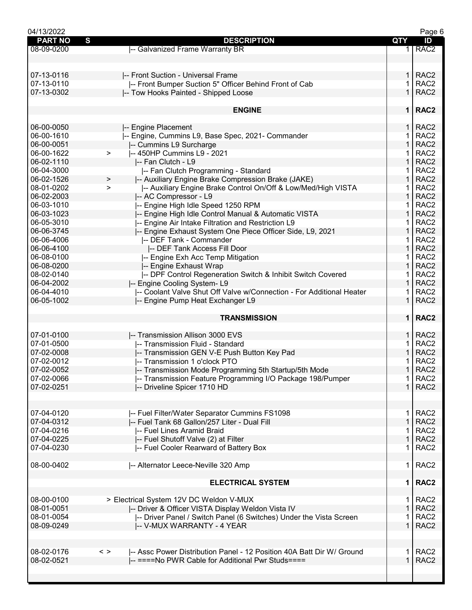| 04/13/2022          |                                                                                        |                | Page 6           |
|---------------------|----------------------------------------------------------------------------------------|----------------|------------------|
| S<br><b>PART NO</b> | <b>DESCRIPTION</b>                                                                     | QTY            | ID               |
| 08-09-0200          | -- Galvanized Frame Warranty BR                                                        | 1 <sup>1</sup> | RAC <sub>2</sub> |
|                     |                                                                                        |                |                  |
|                     |                                                                                        |                |                  |
|                     |                                                                                        |                |                  |
| 07-13-0116          | -- Front Suction - Universal Frame                                                     | 1.             | RAC <sub>2</sub> |
| 07-13-0110          | -- Front Bumper Suction 5" Officer Behind Front of Cab                                 | 1              | RAC <sub>2</sub> |
| 07-13-0302          | -- Tow Hooks Painted - Shipped Loose                                                   | $\mathbf{1}$   | RAC <sub>2</sub> |
|                     |                                                                                        |                |                  |
|                     | <b>ENGINE</b>                                                                          |                | 1   RAC2         |
|                     |                                                                                        |                |                  |
|                     |                                                                                        |                |                  |
| 06-00-0050          | -- Engine Placement                                                                    | 1.             | RAC <sub>2</sub> |
| 06-00-1610          | -- Engine, Cummins L9, Base Spec, 2021- Commander                                      | 1              | RAC <sub>2</sub> |
| 06-00-0051          | -- Cummins L9 Surcharge                                                                | 1              | RAC <sub>2</sub> |
| 06-00-1622          | -- 450HP Cummins L9 - 2021<br>$\,>\,$                                                  | 1              | RAC <sub>2</sub> |
| 06-02-1110          | -- Fan Clutch - L9                                                                     | $\mathbf{1}$   | RAC <sub>2</sub> |
|                     |                                                                                        |                |                  |
| 06-04-3000          | -- Fan Clutch Programming - Standard                                                   | 1.             | RAC <sub>2</sub> |
| 06-02-1526          | -- Auxiliary Engine Brake Compression Brake (JAKE)<br>$\, > \,$                        | 1              | RAC <sub>2</sub> |
| 08-01-0202          | -- Auxiliary Engine Brake Control On/Off & Low/Med/High VISTA<br>$\geq$                | 1              | RAC <sub>2</sub> |
| 06-02-2003          | -- AC Compressor - L9                                                                  | 1              | RAC <sub>2</sub> |
| 06-03-1010          | -- Engine High Idle Speed 1250 RPM                                                     | 1              | RAC <sub>2</sub> |
| 06-03-1023          | -- Engine High Idle Control Manual & Automatic VISTA                                   | 1              | RAC <sub>2</sub> |
| 06-05-3010          |                                                                                        |                | RAC <sub>2</sub> |
|                     | -- Engine Air Intake Filtration and Restriction L9                                     | 1              |                  |
| 06-06-3745          | -- Engine Exhaust System One Piece Officer Side, L9, 2021                              | $\mathbf{1}$   | RAC <sub>2</sub> |
| 06-06-4006          | -- DEF Tank - Commander                                                                | 1.             | RAC <sub>2</sub> |
| 06-06-4100          | -- DEF Tank Access Fill Door                                                           | $\mathbf{1}$   | RAC <sub>2</sub> |
| 06-08-0100          | -- Engine Exh Acc Temp Mitigation                                                      | 1              | RAC <sub>2</sub> |
| 06-08-0200          | -- Engine Exhaust Wrap                                                                 | 1              | RAC <sub>2</sub> |
| 08-02-0140          | -- DPF Control Regeneration Switch & Inhibit Switch Covered                            | 1              | RAC <sub>2</sub> |
|                     |                                                                                        |                |                  |
| 06-04-2002          | -- Engine Cooling System-L9                                                            | 1              | RAC <sub>2</sub> |
| 06-04-4010          | -- Coolant Valve Shut Off Valve w/Connection - For Additional Heater                   | 1.             | RAC <sub>2</sub> |
| 06-05-1002          | -- Engine Pump Heat Exchanger L9                                                       | $\mathbf{1}$   | RAC <sub>2</sub> |
|                     |                                                                                        |                |                  |
|                     | <b>TRANSMISSION</b>                                                                    |                | 1   RAC2         |
|                     |                                                                                        |                |                  |
| 07-01-0100          | -- Transmission Allison 3000 EVS                                                       | 1.             | RAC <sub>2</sub> |
| 07-01-0500          | -- Transmission Fluid - Standard                                                       | 1              | RAC <sub>2</sub> |
| 07-02-0008          | -- Transmission GEN V-E Push Button Key Pad                                            | 1              | RAC <sub>2</sub> |
| 07-02-0012          | - Transmission 1 o'clock PTO                                                           |                | RAC <sub>2</sub> |
|                     |                                                                                        |                |                  |
| 07-02-0052          | -- Transmission Mode Programming 5th Startup/5th Mode                                  | 1.             | RAC <sub>2</sub> |
| 07-02-0066          | -- Transmission Feature Programming I/O Package 198/Pumper                             | 1              | RAC <sub>2</sub> |
| 07-02-0251          | -- Driveline Spicer 1710 HD                                                            | $\mathbf{1}$   | RAC <sub>2</sub> |
|                     |                                                                                        |                |                  |
|                     |                                                                                        |                |                  |
| 07-04-0120          | -- Fuel Filter/Water Separator Cummins FS1098                                          | 1.             | RAC <sub>2</sub> |
| 07-04-0312          |                                                                                        | $\mathbf{1}$   | RAC <sub>2</sub> |
|                     | -- Fuel Tank 68 Gallon/257 Liter - Dual Fill                                           |                |                  |
| 07-04-0216          | -- Fuel Lines Aramid Braid                                                             | 1              | RAC <sub>2</sub> |
| 07-04-0225          | -- Fuel Shutoff Valve (2) at Filter                                                    | $\mathbf{1}$   | RAC <sub>2</sub> |
| 07-04-0230          | -- Fuel Cooler Rearward of Battery Box                                                 | 1              | RAC <sub>2</sub> |
|                     |                                                                                        |                |                  |
| 08-00-0402          | -- Alternator Leece-Neville 320 Amp                                                    | 1.             | RAC <sub>2</sub> |
|                     |                                                                                        |                |                  |
|                     | <b>ELECTRICAL SYSTEM</b>                                                               | 1              | RAC <sub>2</sub> |
|                     |                                                                                        |                |                  |
|                     |                                                                                        |                |                  |
| 08-00-0100          | > Electrical System 12V DC Weldon V-MUX                                                | 1.             | RAC <sub>2</sub> |
| 08-01-0051          | -- Driver & Officer VISTA Display Weldon Vista IV                                      | $\mathbf{1}$   | RAC <sub>2</sub> |
| 08-01-0054          | -- Driver Panel / Switch Panel (6 Switches) Under the Vista Screen                     | 1              | RAC <sub>2</sub> |
| 08-09-0249          | -- V-MUX WARRANTY - 4 YEAR                                                             | 1              | RAC <sub>2</sub> |
|                     |                                                                                        |                |                  |
|                     |                                                                                        |                |                  |
| 08-02-0176          | -- Assc Power Distribution Panel - 12 Position 40A Batt Dir W/ Ground<br>$\langle$ $>$ | 1.             | RAC <sub>2</sub> |
|                     |                                                                                        | $\mathbf 1$    |                  |
| 08-02-0521          | -- ====No PWR Cable for Additional Pwr Studs====                                       |                | RAC <sub>2</sub> |
|                     |                                                                                        |                |                  |
|                     |                                                                                        |                |                  |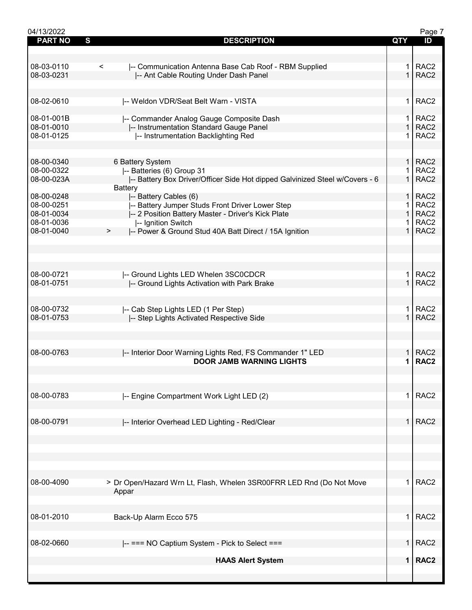| 04/13/2022     |                                                                             |                | Page 7           |
|----------------|-----------------------------------------------------------------------------|----------------|------------------|
| <b>PART NO</b> | S<br><b>DESCRIPTION</b>                                                     | QTY            | ID               |
|                |                                                                             |                |                  |
|                |                                                                             |                |                  |
| 08-03-0110     | -- Communication Antenna Base Cab Roof - RBM Supplied<br>$\,<\,$            | 1.             | RAC <sub>2</sub> |
| 08-03-0231     | -- Ant Cable Routing Under Dash Panel                                       | $\mathbf{1}$   | RAC <sub>2</sub> |
|                |                                                                             |                |                  |
|                |                                                                             |                |                  |
| 08-02-0610     |                                                                             | 1.             | RAC <sub>2</sub> |
|                | -- Weldon VDR/Seat Belt Warn - VISTA                                        |                |                  |
|                |                                                                             |                |                  |
| 08-01-001B     | -- Commander Analog Gauge Composite Dash                                    | 1.             | RAC <sub>2</sub> |
| 08-01-0010     | -- Instrumentation Standard Gauge Panel                                     | $\mathbf 1$    | RAC <sub>2</sub> |
| 08-01-0125     | -- Instrumentation Backlighting Red                                         | 1.             | RAC <sub>2</sub> |
|                |                                                                             |                |                  |
|                |                                                                             |                |                  |
| 08-00-0340     | 6 Battery System                                                            | 1 <sup>1</sup> | RAC <sub>2</sub> |
| 08-00-0322     | -- Batteries (6) Group 31                                                   | 1.             | RAC <sub>2</sub> |
| 08-00-023A     | -- Battery Box Driver/Officer Side Hot dipped Galvinized Steel w/Covers - 6 | $\mathbf 1$    | RAC <sub>2</sub> |
|                | Battery                                                                     |                |                  |
| 08-00-0248     | -- Battery Cables (6)                                                       | 1.             | RAC <sub>2</sub> |
| 08-00-0251     | -- Battery Jumper Studs Front Driver Lower Step                             | 1              | RAC <sub>2</sub> |
| 08-01-0034     | -- 2 Position Battery Master - Driver's Kick Plate                          | $\mathbf 1$    | RAC <sub>2</sub> |
| 08-01-0036     | -- Ignition Switch                                                          | 1.             | RAC <sub>2</sub> |
| 08-01-0040     | >                                                                           | $\mathbf{1}$   | RAC <sub>2</sub> |
|                | -- Power & Ground Stud 40A Batt Direct / 15A Ignition                       |                |                  |
|                |                                                                             |                |                  |
|                |                                                                             |                |                  |
|                |                                                                             |                |                  |
|                |                                                                             |                |                  |
| 08-00-0721     | -- Ground Lights LED Whelen 3SC0CDCR                                        | $\mathbf 1$    | RAC <sub>2</sub> |
| 08-01-0751     | -- Ground Lights Activation with Park Brake                                 | $\mathbf{1}$   | RAC <sub>2</sub> |
|                |                                                                             |                |                  |
|                |                                                                             |                |                  |
| 08-00-0732     | -- Cab Step Lights LED (1 Per Step)                                         | 1.             | RAC <sub>2</sub> |
| 08-01-0753     | -- Step Lights Activated Respective Side                                    | $\mathbf{1}$   | RAC <sub>2</sub> |
|                |                                                                             |                |                  |
|                |                                                                             |                |                  |
|                |                                                                             |                |                  |
| 08-00-0763     | -- Interior Door Warning Lights Red, FS Commander 1" LED                    | 1.             | RAC <sub>2</sub> |
|                | <b>DOOR JAMB WARNING LIGHTS</b>                                             | 1              | RAC <sub>2</sub> |
|                |                                                                             |                |                  |
|                |                                                                             |                |                  |
|                |                                                                             |                |                  |
|                |                                                                             |                |                  |
| 08-00-0783     | -- Engine Compartment Work Light LED (2)                                    | 1.             | RAC <sub>2</sub> |
|                |                                                                             |                |                  |
|                |                                                                             |                |                  |
| 08-00-0791     | -- Interior Overhead LED Lighting - Red/Clear                               | 1.             | RAC <sub>2</sub> |
|                |                                                                             |                |                  |
|                |                                                                             |                |                  |
|                |                                                                             |                |                  |
|                |                                                                             |                |                  |
|                |                                                                             |                |                  |
|                |                                                                             |                |                  |
| 08-00-4090     | > Dr Open/Hazard Wrn Lt, Flash, Whelen 3SR00FRR LED Rnd (Do Not Move        | 1.             | RAC <sub>2</sub> |
|                | Appar                                                                       |                |                  |
|                |                                                                             |                |                  |
|                |                                                                             |                |                  |
| 08-01-2010     |                                                                             | $\mathbf 1$    | RAC <sub>2</sub> |
|                | Back-Up Alarm Ecco 575                                                      |                |                  |
|                |                                                                             |                |                  |
|                |                                                                             |                |                  |
| 08-02-0660     | -- === NO Captium System - Pick to Select ===                               | 1.             | RAC <sub>2</sub> |
|                |                                                                             |                |                  |
|                | <b>HAAS Alert System</b>                                                    | 1              | RAC <sub>2</sub> |
|                |                                                                             |                |                  |
|                |                                                                             |                |                  |